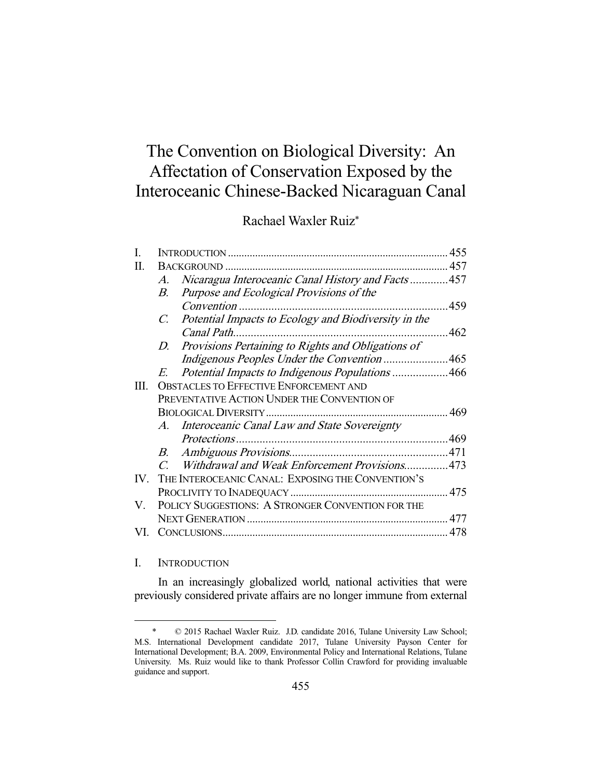# The Convention on Biological Diversity: An Affectation of Conservation Exposed by the Interoceanic Chinese-Backed Nicaraguan Canal

Rachael Waxler Ruiz\*

| П.  |                                                   |                                                      |     |
|-----|---------------------------------------------------|------------------------------------------------------|-----|
|     | $A_{\cdot}$                                       | Nicaragua Interoceanic Canal History and Facts457    |     |
|     | В.                                                | Purpose and Ecological Provisions of the             |     |
|     |                                                   | Convention                                           | 459 |
|     | $C_{\cdot}$                                       | Potential Impacts to Ecology and Biodiversity in the |     |
|     |                                                   |                                                      |     |
|     | D.                                                | Provisions Pertaining to Rights and Obligations of   |     |
|     |                                                   | Indigenous Peoples Under the Convention465           |     |
|     | E.                                                | Potential Impacts to Indigenous Populations 466      |     |
| Ш.  | <b>OBSTACLES TO EFFECTIVE ENFORCEMENT AND</b>     |                                                      |     |
|     | PREVENTATIVE ACTION UNDER THE CONVENTION OF       |                                                      |     |
|     |                                                   |                                                      |     |
|     |                                                   | A. Interoceanic Canal Law and State Sovereignty      |     |
|     |                                                   |                                                      |     |
|     | B.                                                |                                                      |     |
|     | $C_{\cdot}$                                       | Withdrawal and Weak Enforcement Provisions473        |     |
| IV. | THE INTEROCEANIC CANAL: EXPOSING THE CONVENTION'S |                                                      |     |
|     |                                                   |                                                      |     |
| V.  | POLICY SUGGESTIONS: A STRONGER CONVENTION FOR THE |                                                      |     |
|     |                                                   |                                                      | 477 |
| VI. |                                                   |                                                      | 478 |

### I. INTRODUCTION

-

 In an increasingly globalized world, national activities that were previously considered private affairs are no longer immune from external

 <sup>\* © 2015</sup> Rachael Waxler Ruiz. J.D. candidate 2016, Tulane University Law School; M.S. International Development candidate 2017, Tulane University Payson Center for International Development; B.A. 2009, Environmental Policy and International Relations, Tulane University. Ms. Ruiz would like to thank Professor Collin Crawford for providing invaluable guidance and support.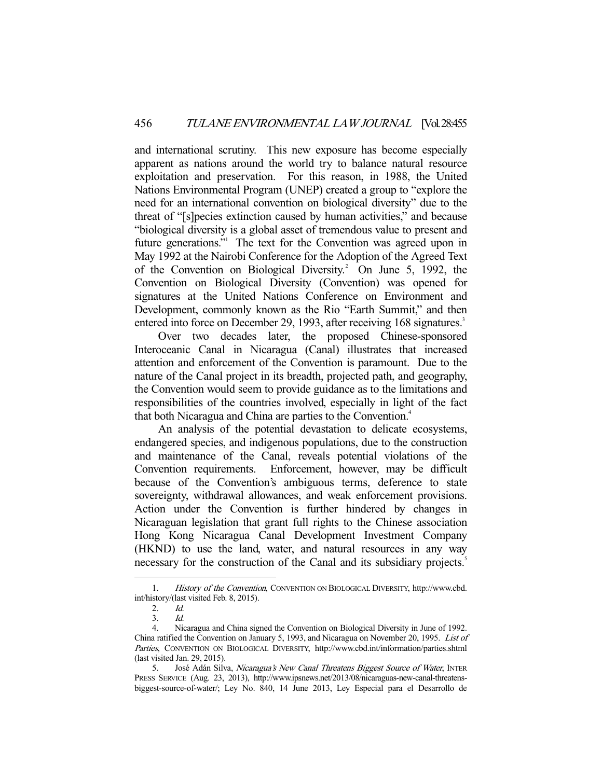and international scrutiny. This new exposure has become especially apparent as nations around the world try to balance natural resource exploitation and preservation. For this reason, in 1988, the United Nations Environmental Program (UNEP) created a group to "explore the need for an international convention on biological diversity" due to the threat of "[s]pecies extinction caused by human activities," and because "biological diversity is a global asset of tremendous value to present and future generations." The text for the Convention was agreed upon in May 1992 at the Nairobi Conference for the Adoption of the Agreed Text of the Convention on Biological Diversity.<sup>2</sup> On June 5, 1992, the Convention on Biological Diversity (Convention) was opened for signatures at the United Nations Conference on Environment and Development, commonly known as the Rio "Earth Summit," and then entered into force on December 29, 1993, after receiving 168 signatures.<sup>3</sup>

 Over two decades later, the proposed Chinese-sponsored Interoceanic Canal in Nicaragua (Canal) illustrates that increased attention and enforcement of the Convention is paramount. Due to the nature of the Canal project in its breadth, projected path, and geography, the Convention would seem to provide guidance as to the limitations and responsibilities of the countries involved, especially in light of the fact that both Nicaragua and China are parties to the Convention.<sup>4</sup>

 An analysis of the potential devastation to delicate ecosystems, endangered species, and indigenous populations, due to the construction and maintenance of the Canal, reveals potential violations of the Convention requirements. Enforcement, however, may be difficult because of the Convention's ambiguous terms, deference to state sovereignty, withdrawal allowances, and weak enforcement provisions. Action under the Convention is further hindered by changes in Nicaraguan legislation that grant full rights to the Chinese association Hong Kong Nicaragua Canal Development Investment Company (HKND) to use the land, water, and natural resources in any way necessary for the construction of the Canal and its subsidiary projects.<sup>5</sup>

<sup>1.</sup> History of the Convention, CONVENTION ON BIOLOGICAL DIVERSITY, http://www.cbd. int/history/(last visited Feb. 8, 2015).<br>  $\frac{2}{10}$ 

 $2<sup>1</sup>$ 

 <sup>3.</sup> Id.

 <sup>4.</sup> Nicaragua and China signed the Convention on Biological Diversity in June of 1992. China ratified the Convention on January 5, 1993, and Nicaragua on November 20, 1995. List of Parties, CONVENTION ON BIOLOGICAL DIVERSITY, http://www.cbd.int/information/parties.shtml (last visited Jan. 29, 2015).

<sup>5.</sup> José Adán Silva, Nicaragua's New Canal Threatens Biggest Source of Water, INTER PRESS SERVICE (Aug. 23, 2013), http://www.ipsnews.net/2013/08/nicaraguas-new-canal-threatensbiggest-source-of-water/; Ley No. 840, 14 June 2013, Ley Especial para el Desarrollo de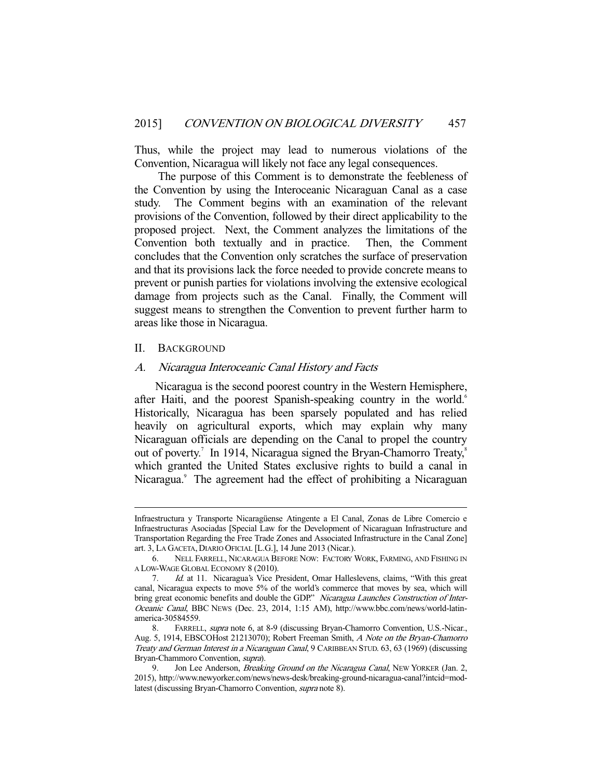Thus, while the project may lead to numerous violations of the Convention, Nicaragua will likely not face any legal consequences.

 The purpose of this Comment is to demonstrate the feebleness of the Convention by using the Interoceanic Nicaraguan Canal as a case study. The Comment begins with an examination of the relevant provisions of the Convention, followed by their direct applicability to the proposed project. Next, the Comment analyzes the limitations of the Convention both textually and in practice. Then, the Comment concludes that the Convention only scratches the surface of preservation and that its provisions lack the force needed to provide concrete means to prevent or punish parties for violations involving the extensive ecological damage from projects such as the Canal. Finally, the Comment will suggest means to strengthen the Convention to prevent further harm to areas like those in Nicaragua.

#### II. BACKGROUND

-

#### A. Nicaragua Interoceanic Canal History and Facts

 Nicaragua is the second poorest country in the Western Hemisphere, after Haiti, and the poorest Spanish-speaking country in the world.<sup>6</sup> Historically, Nicaragua has been sparsely populated and has relied heavily on agricultural exports, which may explain why many Nicaraguan officials are depending on the Canal to propel the country out of poverty.<sup>7</sup> In 1914, Nicaragua signed the Bryan-Chamorro Treaty,<sup>8</sup> which granted the United States exclusive rights to build a canal in Nicaragua.<sup>9</sup> The agreement had the effect of prohibiting a Nicaraguan

Infraestructura y Transporte Nicaragüense Atingente a El Canal, Zonas de Libre Comercio e Infraestructuras Asociadas [Special Law for the Development of Nicaraguan Infrastructure and Transportation Regarding the Free Trade Zones and Associated Infrastructure in the Canal Zone] art. 3, LA GACETA, DIARIO OFICIAL [L.G.], 14 June 2013 (Nicar.).

 <sup>6.</sup> NELL FARRELL, NICARAGUA BEFORE NOW: FACTORY WORK, FARMING, AND FISHING IN A LOW-WAGE GLOBAL ECONOMY 8 (2010).

 <sup>7.</sup> Id. at 11. Nicaragua's Vice President, Omar Halleslevens, claims, "With this great canal, Nicaragua expects to move 5% of the world's commerce that moves by sea, which will bring great economic benefits and double the GDP." Nicaragua Launches Construction of Inter-Oceanic Canal, BBC NEWS (Dec. 23, 2014, 1:15 AM), http://www.bbc.com/news/world-latinamerica-30584559.

 <sup>8.</sup> FARRELL, supra note 6, at 8-9 (discussing Bryan-Chamorro Convention, U.S.-Nicar., Aug. 5, 1914, EBSCOHost 21213070); Robert Freeman Smith, A Note on the Bryan-Chamorro Treaty and German Interest in a Nicaraguan Canal, 9 CARIBBEAN STUD. 63, 63 (1969) (discussing Bryan-Chammoro Convention, supra).

Jon Lee Anderson, Breaking Ground on the Nicaragua Canal, NEW YORKER (Jan. 2, 2015), http://www.newyorker.com/news/news-desk/breaking-ground-nicaragua-canal?intcid=modlatest (discussing Bryan-Chamorro Convention, supra note 8).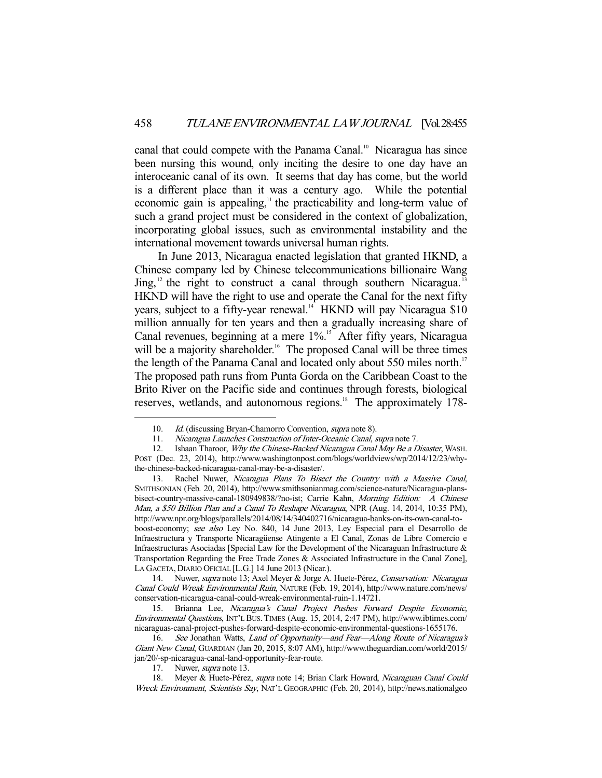canal that could compete with the Panama Canal.<sup>10</sup> Nicaragua has since been nursing this wound, only inciting the desire to one day have an interoceanic canal of its own. It seems that day has come, but the world is a different place than it was a century ago. While the potential economic gain is appealing, $\frac{1}{1}$  the practicability and long-term value of such a grand project must be considered in the context of globalization, incorporating global issues, such as environmental instability and the international movement towards universal human rights.

 In June 2013, Nicaragua enacted legislation that granted HKND, a Chinese company led by Chinese telecommunications billionaire Wang  $\text{Jing}$ ,<sup>12</sup> the right to construct a canal through southern Nicaragua.<sup>13</sup> HKND will have the right to use and operate the Canal for the next fifty years, subject to a fifty-year renewal.<sup>14</sup> HKND will pay Nicaragua \$10 million annually for ten years and then a gradually increasing share of Canal revenues, beginning at a mere 1%.<sup>15</sup> After fifty years, Nicaragua will be a majority shareholder.<sup>16</sup> The proposed Canal will be three times the length of the Panama Canal and located only about 550 miles north.<sup>17</sup> The proposed path runs from Punta Gorda on the Caribbean Coast to the Brito River on the Pacific side and continues through forests, biological reserves, wetlands, and autonomous regions.<sup>18</sup> The approximately 178-

 13. Rachel Nuwer, Nicaragua Plans To Bisect the Country with a Massive Canal, SMITHSONIAN (Feb. 20, 2014), http://www.smithsonianmag.com/science-nature/Nicaragua-plansbisect-country-massive-canal-180949838/?no-ist; Carrie Kahn, Morning Edition: A Chinese Man, a \$50 Billion Plan and a Canal To Reshape Nicaragua, NPR (Aug. 14, 2014, 10:35 PM), http://www.npr.org/blogs/parallels/2014/08/14/340402716/nicaragua-banks-on-its-own-canal-toboost-economy; see also Ley No. 840, 14 June 2013, Ley Especial para el Desarrollo de Infraestructura y Transporte Nicaragüense Atingente a El Canal, Zonas de Libre Comercio e Infraestructuras Asociadas [Special Law for the Development of the Nicaraguan Infrastructure & Transportation Regarding the Free Trade Zones & Associated Infrastructure in the Canal Zone], LA GACETA, DIARIO OFICIAL [L.G.] 14 June 2013 (Nicar.).

14. Nuwer, *supra* note 13; Axel Meyer & Jorge A. Huete-Pérez, *Conservation: Nicaragua* Canal Could Wreak Environmental Ruin, NATURE (Feb. 19, 2014), http://www.nature.com/news/ conservation-nicaragua-canal-could-wreak-environmental-ruin-1.14721.

15. Brianna Lee, Nicaragua's Canal Project Pushes Forward Despite Economic, Environmental Questions, INT'L BUS. TIMES (Aug. 15, 2014, 2:47 PM), http://www.ibtimes.com/ nicaraguas-canal-project-pushes-forward-despite-economic-environmental-questions-1655176.

16. See Jonathan Watts, Land of Opportunity—and Fear-Along Route of Nicaragua's Giant New Canal, GUARDIAN (Jan 20, 2015, 8:07 AM), http://www.theguardian.com/world/2015/ jan/20/-sp-nicaragua-canal-land-opportunity-fear-route.

17. Nuwer, *supra* note 13.

-

18. Meyer & Huete-Pérez, supra note 14; Brian Clark Howard, Nicaraguan Canal Could Wreck Environment, Scientists Say, NAT'L GEOGRAPHIC (Feb. 20, 2014), http://news.nationalgeo

<sup>10.</sup> *Id.* (discussing Bryan-Chamorro Convention, *supra* note 8).

 <sup>11.</sup> Nicaragua Launches Construction of Inter-Oceanic Canal, supra note 7.

<sup>12.</sup> Ishaan Tharoor, Why the Chinese-Backed Nicaragua Canal May Be a Disaster, WASH. POST (Dec. 23, 2014), http://www.washingtonpost.com/blogs/worldviews/wp/2014/12/23/whythe-chinese-backed-nicaragua-canal-may-be-a-disaster/.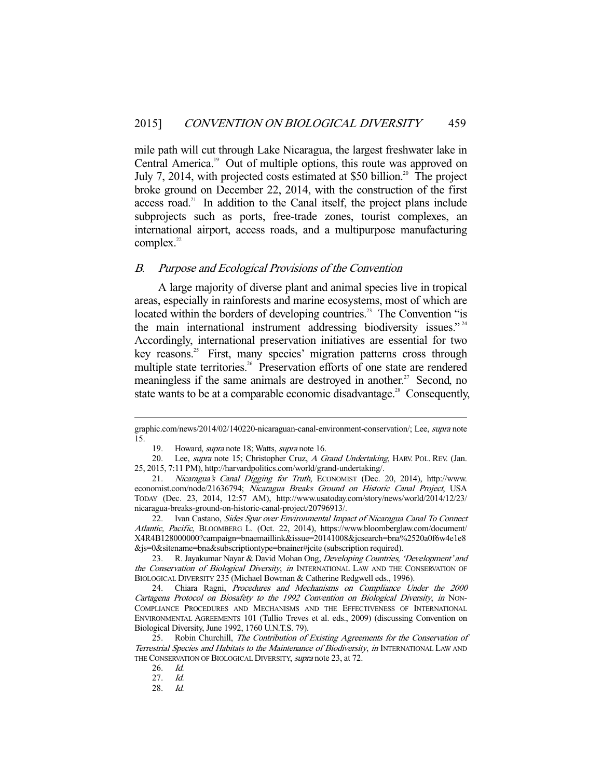mile path will cut through Lake Nicaragua, the largest freshwater lake in Central America.<sup>19</sup> Out of multiple options, this route was approved on July 7, 2014, with projected costs estimated at \$50 billion.<sup>20</sup> The project broke ground on December 22, 2014, with the construction of the first  $access road.<sup>21</sup>$  In addition to the Canal itself, the project plans include subprojects such as ports, free-trade zones, tourist complexes, an international airport, access roads, and a multipurpose manufacturing complex. $22$ 

#### B. Purpose and Ecological Provisions of the Convention

 A large majority of diverse plant and animal species live in tropical areas, especially in rainforests and marine ecosystems, most of which are located within the borders of developing countries.<sup>23</sup> The Convention "is the main international instrument addressing biodiversity issues."<sup>24</sup> Accordingly, international preservation initiatives are essential for two key reasons.<sup>25</sup> First, many species' migration patterns cross through multiple state territories.<sup>26</sup> Preservation efforts of one state are rendered meaningless if the same animals are destroyed in another.<sup>27</sup> Second, no state wants to be at a comparable economic disadvantage.<sup>28</sup> Consequently,

graphic.com/news/2014/02/140220-nicaraguan-canal-environment-conservation/; Lee, supra note 15.

<sup>19.</sup> Howard, *supra* note 18; Watts, *supra* note 16.

<sup>20.</sup> Lee, supra note 15; Christopher Cruz, A Grand Undertaking, HARV. POL. REV. (Jan. 25, 2015, 7:11 PM), http://harvardpolitics.com/world/grand-undertaking/.

 <sup>21.</sup> Nicaragua's Canal Digging for Truth, ECONOMIST (Dec. 20, 2014), http://www. economist.com/node/21636794; Nicaragua Breaks Ground on Historic Canal Project, USA TODAY (Dec. 23, 2014, 12:57 AM), http://www.usatoday.com/story/news/world/2014/12/23/ nicaragua-breaks-ground-on-historic-canal-project/20796913/.

 <sup>22.</sup> Ivan Castano, Sides Spar over Environmental Impact of Nicaragua Canal To Connect Atlantic, Pacific, BLOOMBERG L. (Oct. 22, 2014), https://www.bloomberglaw.com/document/ X4R4B128000000?campaign=bnaemaillink&issue=20141008&jcsearch=bna%2520a0f6w4e1e8 &js=0&sitename=bna&subscriptiontype=bnainer#jcite (subscription required).

<sup>23.</sup> R. Jayakumar Nayar & David Mohan Ong, Developing Countries, 'Development' and the Conservation of Biological Diversity, in INTERNATIONAL LAW AND THE CONSERVATION OF BIOLOGICAL DIVERSITY 235 (Michael Bowman & Catherine Redgwell eds., 1996).

 <sup>24.</sup> Chiara Ragni, Procedures and Mechanisms on Compliance Under the 2000 Cartagena Protocol on Biosafety to the 1992 Convention on Biological Diversity, in NON-COMPLIANCE PROCEDURES AND MECHANISMS AND THE EFFECTIVENESS OF INTERNATIONAL ENVIRONMENTAL AGREEMENTS 101 (Tullio Treves et al. eds., 2009) (discussing Convention on Biological Diversity, June 1992, 1760 U.N.T.S. 79).

<sup>25.</sup> Robin Churchill, The Contribution of Existing Agreements for the Conservation of Terrestrial Species and Habitats to the Maintenance of Biodiversity, in INTERNATIONAL LAW AND THE CONSERVATION OF BIOLOGICAL DIVERSITY, supra note 23, at 72.

 <sup>26.</sup> Id.

 <sup>27.</sup> Id.

 <sup>28.</sup> Id.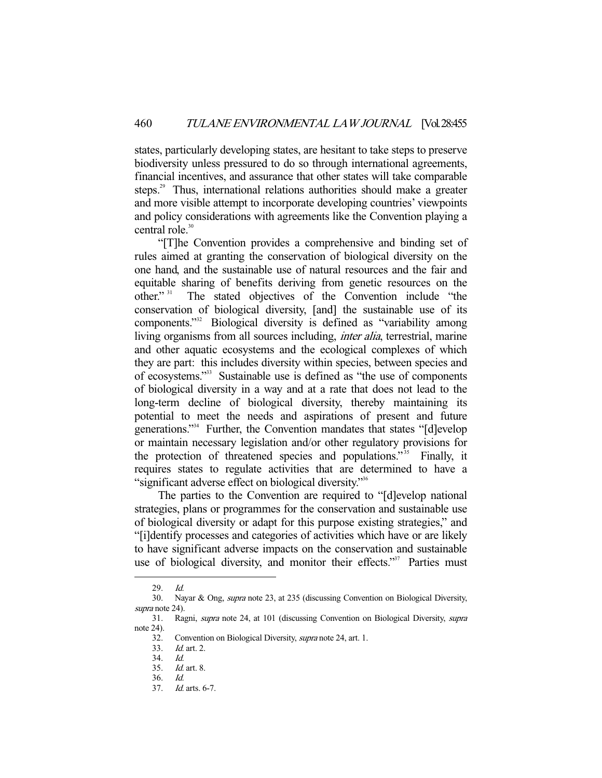states, particularly developing states, are hesitant to take steps to preserve biodiversity unless pressured to do so through international agreements, financial incentives, and assurance that other states will take comparable steps.<sup>29</sup> Thus, international relations authorities should make a greater and more visible attempt to incorporate developing countries' viewpoints and policy considerations with agreements like the Convention playing a central role.<sup>30</sup>

 "[T]he Convention provides a comprehensive and binding set of rules aimed at granting the conservation of biological diversity on the one hand, and the sustainable use of natural resources and the fair and equitable sharing of benefits deriving from genetic resources on the other."<sup>31</sup> The stated objectives of the Convention include "the The stated objectives of the Convention include "the conservation of biological diversity, [and] the sustainable use of its components."<sup>32</sup> Biological diversity is defined as "variability among living organisms from all sources including, *inter alia*, terrestrial, marine and other aquatic ecosystems and the ecological complexes of which they are part: this includes diversity within species, between species and of ecosystems."33 Sustainable use is defined as "the use of components of biological diversity in a way and at a rate that does not lead to the long-term decline of biological diversity, thereby maintaining its potential to meet the needs and aspirations of present and future generations."34 Further, the Convention mandates that states "[d]evelop or maintain necessary legislation and/or other regulatory provisions for the protection of threatened species and populations."<sup>35</sup> Finally, it requires states to regulate activities that are determined to have a "significant adverse effect on biological diversity."36

 The parties to the Convention are required to "[d]evelop national strategies, plans or programmes for the conservation and sustainable use of biological diversity or adapt for this purpose existing strategies," and "[i]dentify processes and categories of activities which have or are likely to have significant adverse impacts on the conservation and sustainable use of biological diversity, and monitor their effects."<sup>37</sup> Parties must

 <sup>29.</sup> Id.

 <sup>30.</sup> Nayar & Ong, supra note 23, at 235 (discussing Convention on Biological Diversity, supra note 24).

 <sup>31.</sup> Ragni, supra note 24, at 101 (discussing Convention on Biological Diversity, supra note 24).

 <sup>32.</sup> Convention on Biological Diversity, supra note 24, art. 1.

 <sup>33.</sup> Id. art. 2.

 <sup>34.</sup> Id.

 <sup>35.</sup> Id. art. 8.

 <sup>36.</sup> Id.

 <sup>37.</sup> Id. arts. 6-7.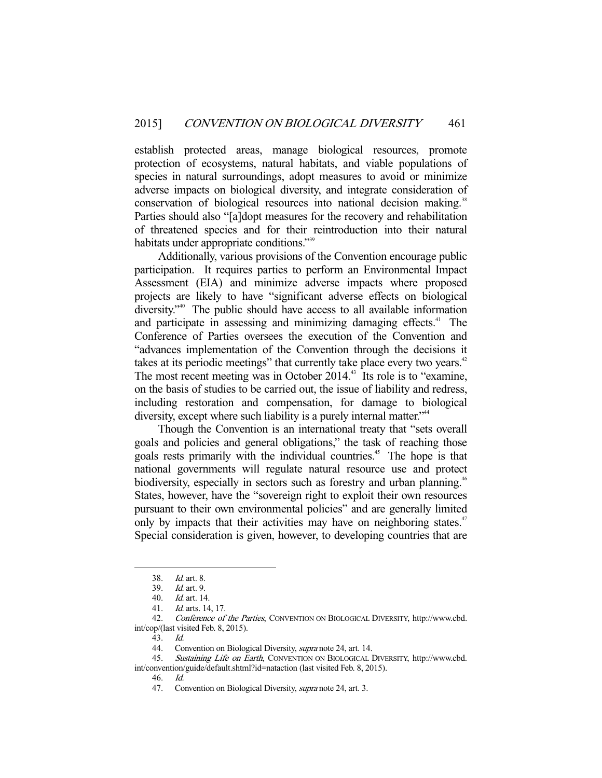establish protected areas, manage biological resources, promote protection of ecosystems, natural habitats, and viable populations of species in natural surroundings, adopt measures to avoid or minimize adverse impacts on biological diversity, and integrate consideration of conservation of biological resources into national decision making.<sup>38</sup> Parties should also "[a]dopt measures for the recovery and rehabilitation of threatened species and for their reintroduction into their natural habitats under appropriate conditions."<sup>39</sup>

 Additionally, various provisions of the Convention encourage public participation. It requires parties to perform an Environmental Impact Assessment (EIA) and minimize adverse impacts where proposed projects are likely to have "significant adverse effects on biological diversity."40 The public should have access to all available information and participate in assessing and minimizing damaging effects.<sup>41</sup> The Conference of Parties oversees the execution of the Convention and "advances implementation of the Convention through the decisions it takes at its periodic meetings" that currently take place every two years. $42$ The most recent meeting was in October 2014.<sup>43</sup> Its role is to "examine, on the basis of studies to be carried out, the issue of liability and redress, including restoration and compensation, for damage to biological diversity, except where such liability is a purely internal matter."<sup>44</sup>

 Though the Convention is an international treaty that "sets overall goals and policies and general obligations," the task of reaching those goals rests primarily with the individual countries.<sup>45</sup> The hope is that national governments will regulate natural resource use and protect biodiversity, especially in sectors such as forestry and urban planning.<sup>46</sup> States, however, have the "sovereign right to exploit their own resources pursuant to their own environmental policies" and are generally limited only by impacts that their activities may have on neighboring states.<sup>47</sup> Special consideration is given, however, to developing countries that are

 <sup>38.</sup> Id. art. 8.

 <sup>39.</sup> Id. art. 9.

 <sup>40.</sup> Id. art. 14.

 <sup>41.</sup> Id. arts. 14, 17.

 <sup>42.</sup> Conference of the Parties, CONVENTION ON BIOLOGICAL DIVERSITY, http://www.cbd. int/cop/(last visited Feb. 8, 2015).

 <sup>43.</sup> Id.

<sup>44.</sup> Convention on Biological Diversity, *supra* note 24, art. 14.

<sup>45.</sup> Sustaining Life on Earth, CONVENTION ON BIOLOGICAL DIVERSITY, http://www.cbd.

int/convention/guide/default.shtml?id=nataction (last visited Feb. 8, 2015).

 <sup>46.</sup> Id.

<sup>47.</sup> Convention on Biological Diversity, *supra* note 24, art. 3.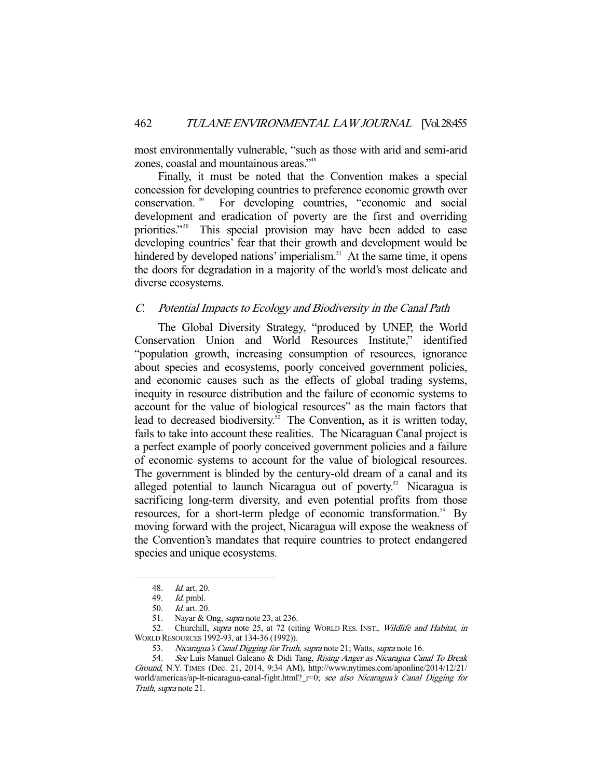most environmentally vulnerable, "such as those with arid and semi-arid zones, coastal and mountainous areas."48

 Finally, it must be noted that the Convention makes a special concession for developing countries to preference economic growth over conservation. 49 For developing countries, "economic and social development and eradication of poverty are the first and overriding priorities."<sup>50</sup> This special provision may have been added to ease developing countries' fear that their growth and development would be hindered by developed nations' imperialism.<sup>51</sup> At the same time, it opens the doors for degradation in a majority of the world's most delicate and diverse ecosystems.

### C. Potential Impacts to Ecology and Biodiversity in the Canal Path

 The Global Diversity Strategy, "produced by UNEP, the World Conservation Union and World Resources Institute," identified "population growth, increasing consumption of resources, ignorance about species and ecosystems, poorly conceived government policies, and economic causes such as the effects of global trading systems, inequity in resource distribution and the failure of economic systems to account for the value of biological resources" as the main factors that lead to decreased biodiversity.<sup>52</sup> The Convention, as it is written today, fails to take into account these realities. The Nicaraguan Canal project is a perfect example of poorly conceived government policies and a failure of economic systems to account for the value of biological resources. The government is blinded by the century-old dream of a canal and its alleged potential to launch Nicaragua out of poverty.<sup>53</sup> Nicaragua is sacrificing long-term diversity, and even potential profits from those resources, for a short-term pledge of economic transformation.<sup>54</sup> By moving forward with the project, Nicaragua will expose the weakness of the Convention's mandates that require countries to protect endangered species and unique ecosystems.

 <sup>48.</sup> Id. art. 20.

 <sup>49.</sup> Id. pmbl.

 <sup>50.</sup> Id. art. 20.

 <sup>51.</sup> Nayar & Ong, supra note 23, at 236.

<sup>52.</sup> Churchill, supra note 25, at 72 (citing WORLD RES. INST., Wildlife and Habitat, in WORLD RESOURCES 1992-93, at 134-36 (1992)).

<sup>53.</sup> Nicaragua's Canal Digging for Truth, supra note 21; Watts, supra note 16.

<sup>54.</sup> See Luis Manuel Galeano & Didi Tang, Rising Anger as Nicaragua Canal To Break Ground, N.Y. TIMES (Dec. 21, 2014, 9:34 AM), http://www.nytimes.com/aponline/2014/12/21/ world/americas/ap-lt-nicaragua-canal-fight.html?\_r=0; see also Nicaragua's Canal Digging for Truth, supra note 21.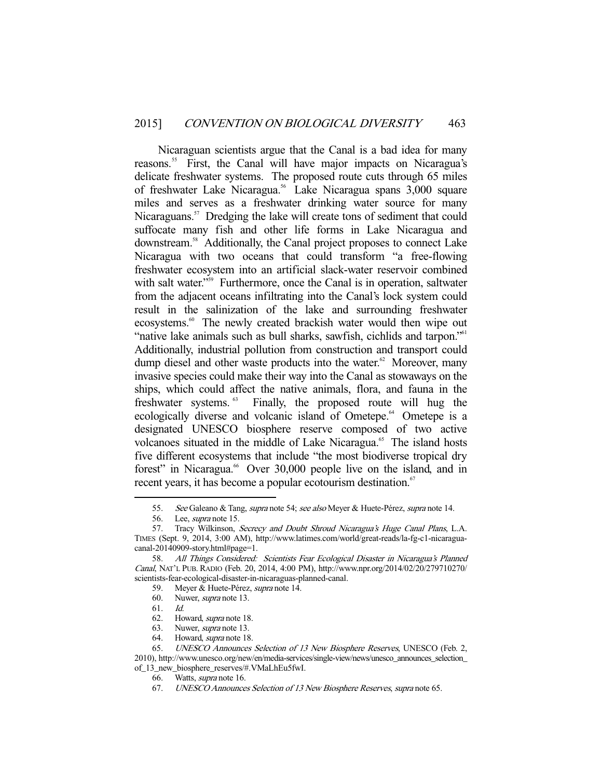Nicaraguan scientists argue that the Canal is a bad idea for many reasons.<sup>55</sup> First, the Canal will have major impacts on Nicaragua's delicate freshwater systems. The proposed route cuts through 65 miles of freshwater Lake Nicaragua.<sup>56</sup> Lake Nicaragua spans 3,000 square miles and serves as a freshwater drinking water source for many Nicaraguans.<sup>57</sup> Dredging the lake will create tons of sediment that could suffocate many fish and other life forms in Lake Nicaragua and downstream.<sup>58</sup> Additionally, the Canal project proposes to connect Lake Nicaragua with two oceans that could transform "a free-flowing freshwater ecosystem into an artificial slack-water reservoir combined with salt water."<sup>59</sup> Furthermore, once the Canal is in operation, saltwater from the adjacent oceans infiltrating into the Canal's lock system could result in the salinization of the lake and surrounding freshwater ecosystems.<sup>60</sup> The newly created brackish water would then wipe out "native lake animals such as bull sharks, sawfish, cichlids and tarpon."61 Additionally, industrial pollution from construction and transport could dump diesel and other waste products into the water. $62$  Moreover, many invasive species could make their way into the Canal as stowaways on the ships, which could affect the native animals, flora, and fauna in the freshwater systems.<sup>63</sup> Finally, the proposed route will hug the ecologically diverse and volcanic island of Ometepe.<sup>64</sup> Ometepe is a designated UNESCO biosphere reserve composed of two active volcanoes situated in the middle of Lake Nicaragua.<sup>65</sup> The island hosts five different ecosystems that include "the most biodiverse tropical dry forest" in Nicaragua.<sup>66</sup> Over 30,000 people live on the island, and in recent years, it has become a popular ecotourism destination.<sup>67</sup>

<sup>55.</sup> See Galeano & Tang, supra note 54; see also Meyer & Huete-Pérez, supra note 14.

<sup>56.</sup> Lee, *supra* note 15.

<sup>57.</sup> Tracy Wilkinson, Secrecy and Doubt Shroud Nicaragua's Huge Canal Plans, L.A. TIMES (Sept. 9, 2014, 3:00 AM), http://www.latimes.com/world/great-reads/la-fg-c1-nicaraguacanal-20140909-story.html#page=1.

 <sup>58.</sup> All Things Considered: Scientists Fear Ecological Disaster in Nicaragua's Planned Canal, NAT'L PUB. RADIO (Feb. 20, 2014, 4:00 PM), http://www.npr.org/2014/02/20/279710270/ scientists-fear-ecological-disaster-in-nicaraguas-planned-canal.

<sup>59.</sup> Meyer & Huete-Pérez, *supra* note 14.

<sup>60.</sup> Nuwer, *supra* note 13.

 <sup>61.</sup> Id.

 <sup>62.</sup> Howard, supra note 18.

 <sup>63.</sup> Nuwer, supra note 13.

 <sup>64.</sup> Howard, supra note 18.

<sup>65.</sup> UNESCO Announces Selection of 13 New Biosphere Reserves, UNESCO (Feb. 2, 2010), http://www.unesco.org/new/en/media-services/single-view/news/unesco\_announces\_selection\_ of\_13\_new\_biosphere\_reserves/#.VMaLhEu5fwI.

 <sup>66.</sup> Watts, supra note 16.

 <sup>67.</sup> UNESCO Announces Selection of 13 New Biosphere Reserves, supra note 65.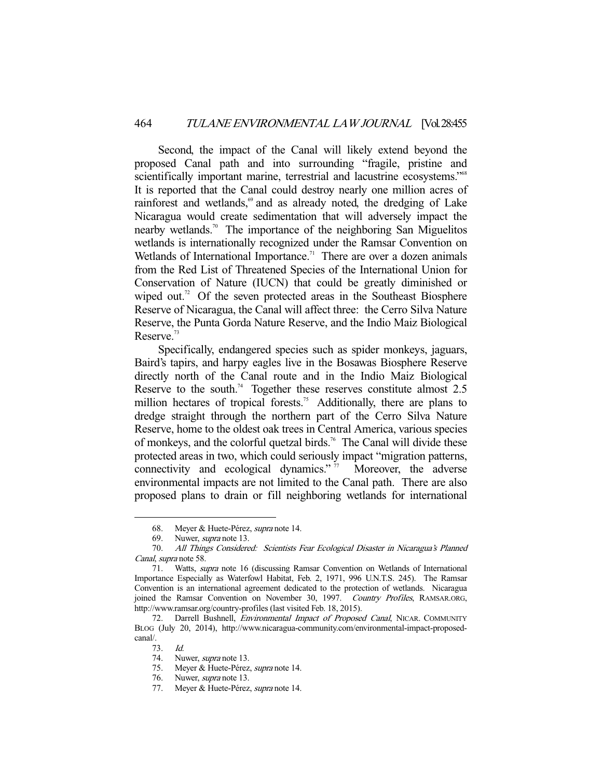Second, the impact of the Canal will likely extend beyond the proposed Canal path and into surrounding "fragile, pristine and scientifically important marine, terrestrial and lacustrine ecosystems."<sup>68</sup> It is reported that the Canal could destroy nearly one million acres of rainforest and wetlands,<sup>69</sup> and as already noted, the dredging of Lake Nicaragua would create sedimentation that will adversely impact the nearby wetlands.<sup>70</sup> The importance of the neighboring San Miguelitos wetlands is internationally recognized under the Ramsar Convention on Wetlands of International Importance.<sup>71</sup> There are over a dozen animals from the Red List of Threatened Species of the International Union for Conservation of Nature (IUCN) that could be greatly diminished or wiped out.<sup>72</sup> Of the seven protected areas in the Southeast Biosphere Reserve of Nicaragua, the Canal will affect three: the Cerro Silva Nature Reserve, the Punta Gorda Nature Reserve, and the Indio Maiz Biological Reserve.<sup>73</sup>

 Specifically, endangered species such as spider monkeys, jaguars, Baird's tapirs, and harpy eagles live in the Bosawas Biosphere Reserve directly north of the Canal route and in the Indio Maiz Biological Reserve to the south.<sup>74</sup> Together these reserves constitute almost 2.5 million hectares of tropical forests.<sup>75</sup> Additionally, there are plans to dredge straight through the northern part of the Cerro Silva Nature Reserve, home to the oldest oak trees in Central America, various species of monkeys, and the colorful quetzal birds.<sup>76</sup> The Canal will divide these protected areas in two, which could seriously impact "migration patterns, connectivity and ecological dynamics."<sup>77</sup> Moreover, the adverse environmental impacts are not limited to the Canal path. There are also proposed plans to drain or fill neighboring wetlands for international

<sup>68.</sup> Meyer & Huete-Pérez, supra note 14.

<sup>69.</sup> Nuwer, *supra* note 13.

 <sup>70.</sup> All Things Considered: Scientists Fear Ecological Disaster in Nicaragua's Planned Canal, supra note 58.

 <sup>71.</sup> Watts, supra note 16 (discussing Ramsar Convention on Wetlands of International Importance Especially as Waterfowl Habitat, Feb. 2, 1971, 996 U.N.T.S. 245). The Ramsar Convention is an international agreement dedicated to the protection of wetlands. Nicaragua joined the Ramsar Convention on November 30, 1997. Country Profiles, RAMSAR.ORG, http://www.ramsar.org/country-profiles (last visited Feb. 18, 2015).

<sup>72.</sup> Darrell Bushnell, *Environmental Impact of Proposed Canal*, NICAR. COMMUNITY BLOG (July 20, 2014), http://www.nicaragua-community.com/environmental-impact-proposedcanal/.

<sup>73.</sup> *Id.*<br>74. Nu

Nuwer, supra note 13.

 <sup>75.</sup> Meyer & Huete-Pérez, supra note 14.

 <sup>76.</sup> Nuwer, supra note 13.

<sup>77.</sup> Meyer & Huete-Pérez, supra note 14.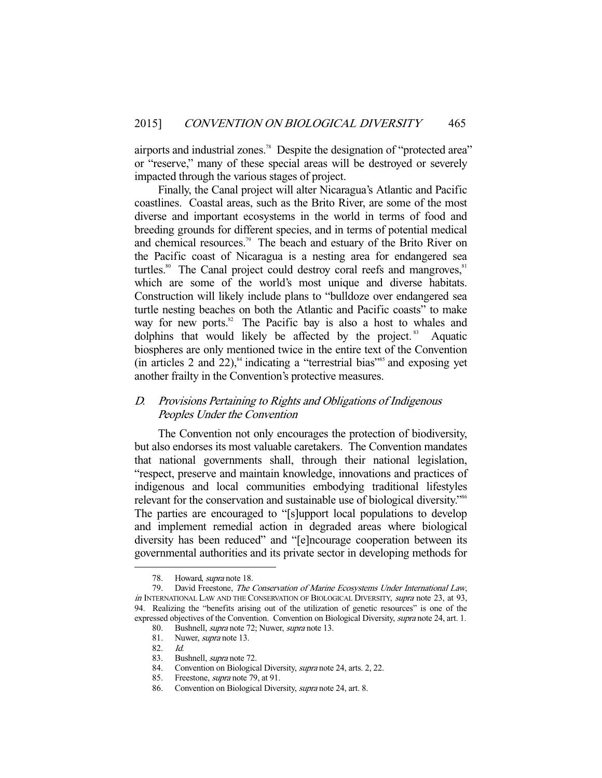airports and industrial zones.<sup>78</sup> Despite the designation of "protected area" or "reserve," many of these special areas will be destroyed or severely impacted through the various stages of project.

 Finally, the Canal project will alter Nicaragua's Atlantic and Pacific coastlines. Coastal areas, such as the Brito River, are some of the most diverse and important ecosystems in the world in terms of food and breeding grounds for different species, and in terms of potential medical and chemical resources.<sup>79</sup> The beach and estuary of the Brito River on the Pacific coast of Nicaragua is a nesting area for endangered sea turtles.<sup>80</sup> The Canal project could destroy coral reefs and mangroves,<sup>81</sup> which are some of the world's most unique and diverse habitats. Construction will likely include plans to "bulldoze over endangered sea turtle nesting beaches on both the Atlantic and Pacific coasts" to make way for new ports.<sup>82</sup> The Pacific bay is also a host to whales and dolphins that would likely be affected by the project. $83$  Aquatic biospheres are only mentioned twice in the entire text of the Convention (in articles 2 and 22), $^{84}$  indicating a "terrestrial bias"<sup>85</sup> and exposing yet another frailty in the Convention's protective measures.

## D. Provisions Pertaining to Rights and Obligations of Indigenous Peoples Under the Convention

 The Convention not only encourages the protection of biodiversity, but also endorses its most valuable caretakers. The Convention mandates that national governments shall, through their national legislation, "respect, preserve and maintain knowledge, innovations and practices of indigenous and local communities embodying traditional lifestyles relevant for the conservation and sustainable use of biological diversity."<sup>86</sup> The parties are encouraged to "[s]upport local populations to develop and implement remedial action in degraded areas where biological diversity has been reduced" and "[e]ncourage cooperation between its governmental authorities and its private sector in developing methods for

<sup>78.</sup> Howard, *supra* note 18.

 <sup>79.</sup> David Freestone, The Conservation of Marine Ecosystems Under International Law, in INTERNATIONAL LAW AND THE CONSERVATION OF BIOLOGICAL DIVERSITY, supra note 23, at 93, 94. Realizing the "benefits arising out of the utilization of genetic resources" is one of the expressed objectives of the Convention. Convention on Biological Diversity, supra note 24, art. 1.

 <sup>80.</sup> Bushnell, supra note 72; Nuwer, supra note 13.

<sup>81.</sup> Nuwer, *supra* note 13.

<sup>82.</sup> *Id.*<br>83. Bu

Bushnell, *supra* note 72.

 <sup>84.</sup> Convention on Biological Diversity, supra note 24, arts. 2, 22.

 <sup>85.</sup> Freestone, supra note 79, at 91.

 <sup>86.</sup> Convention on Biological Diversity, supra note 24, art. 8.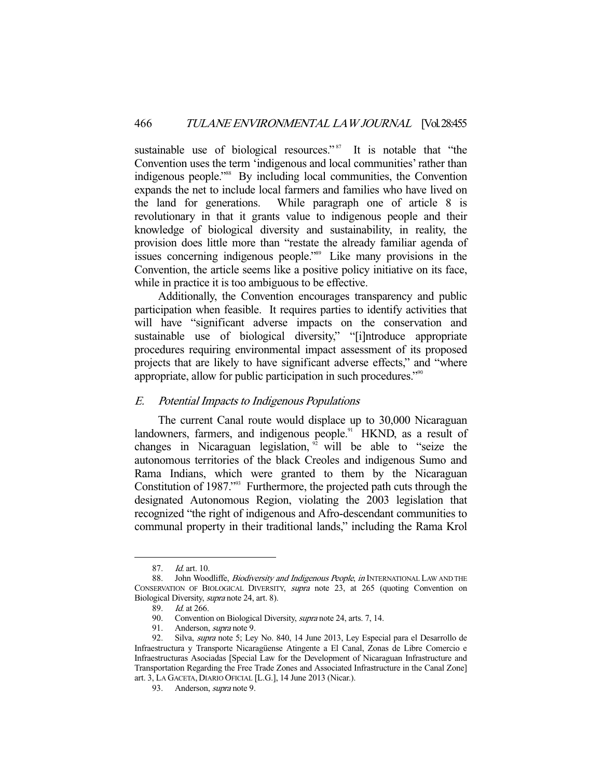sustainable use of biological resources."<sup>87</sup> It is notable that "the Convention uses the term 'indigenous and local communities' rather than indigenous people."88 By including local communities, the Convention expands the net to include local farmers and families who have lived on the land for generations. While paragraph one of article 8 is revolutionary in that it grants value to indigenous people and their knowledge of biological diversity and sustainability, in reality, the provision does little more than "restate the already familiar agenda of issues concerning indigenous people."89 Like many provisions in the Convention, the article seems like a positive policy initiative on its face, while in practice it is too ambiguous to be effective.

 Additionally, the Convention encourages transparency and public participation when feasible. It requires parties to identify activities that will have "significant adverse impacts on the conservation and sustainable use of biological diversity," "[i]ntroduce appropriate procedures requiring environmental impact assessment of its proposed projects that are likely to have significant adverse effects," and "where appropriate, allow for public participation in such procedures."<sup>90</sup>

#### E. Potential Impacts to Indigenous Populations

 The current Canal route would displace up to 30,000 Nicaraguan landowners, farmers, and indigenous people.<sup>91</sup> HKND, as a result of changes in Nicaraguan legislation,  $\frac{9}{2}$  will be able to "seize the autonomous territories of the black Creoles and indigenous Sumo and Rama Indians, which were granted to them by the Nicaraguan Constitution of 1987."<sup>33</sup> Furthermore, the projected path cuts through the designated Autonomous Region, violating the 2003 legislation that recognized "the right of indigenous and Afro-descendant communities to communal property in their traditional lands," including the Rama Krol

<sup>87.</sup> *Id.* art. 10.

<sup>88.</sup> John Woodliffe, *Biodiversity and Indigenous People, in* INTERNATIONAL LAW AND THE CONSERVATION OF BIOLOGICAL DIVERSITY, supra note 23, at 265 (quoting Convention on Biological Diversity, supra note 24, art. 8).

 <sup>89.</sup> Id. at 266.

<sup>90.</sup> Convention on Biological Diversity, *supra* note 24, arts. 7, 14.

 <sup>91.</sup> Anderson, supra note 9.

<sup>92.</sup> Silva, *supra* note 5; Ley No. 840, 14 June 2013, Ley Especial para el Desarrollo de Infraestructura y Transporte Nicaragüense Atingente a El Canal, Zonas de Libre Comercio e Infraestructuras Asociadas [Special Law for the Development of Nicaraguan Infrastructure and Transportation Regarding the Free Trade Zones and Associated Infrastructure in the Canal Zone] art. 3, LA GACETA, DIARIO OFICIAL [L.G.], 14 June 2013 (Nicar.).

 <sup>93.</sup> Anderson, supra note 9.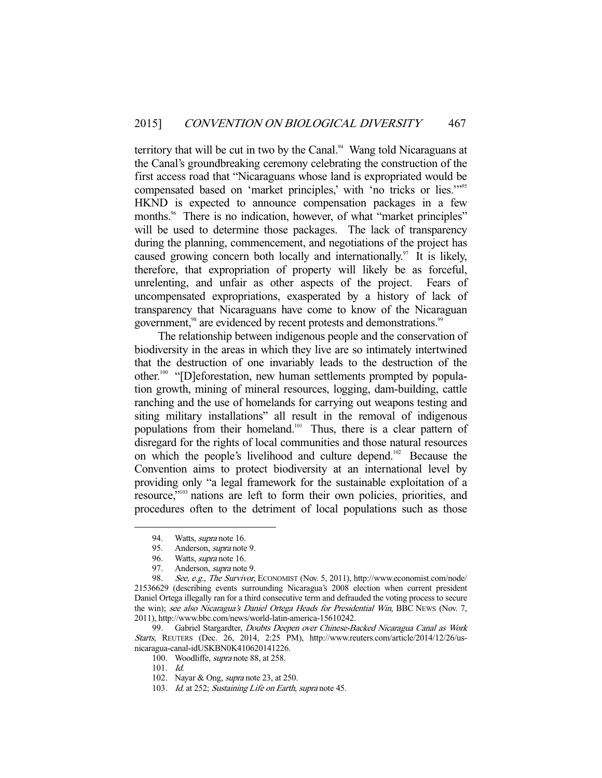territory that will be cut in two by the Canal.<sup>94</sup> Wang told Nicaraguans at the Canal's groundbreaking ceremony celebrating the construction of the first access road that "Nicaraguans whose land is expropriated would be compensated based on 'market principles,' with 'no tricks or lies."<sup>995</sup> HKND is expected to announce compensation packages in a few months.<sup>96</sup> There is no indication, however, of what "market principles" will be used to determine those packages. The lack of transparency during the planning, commencement, and negotiations of the project has caused growing concern both locally and internationally.<sup>97</sup> It is likely, therefore, that expropriation of property will likely be as forceful, unrelenting, and unfair as other aspects of the project. Fears of uncompensated expropriations, exasperated by a history of lack of transparency that Nicaraguans have come to know of the Nicaraguan government,<sup>98</sup> are evidenced by recent protests and demonstrations.<sup>99</sup>

 The relationship between indigenous people and the conservation of biodiversity in the areas in which they live are so intimately intertwined that the destruction of one invariably leads to the destruction of the other.100 "[D]eforestation, new human settlements prompted by population growth, mining of mineral resources, logging, dam-building, cattle ranching and the use of homelands for carrying out weapons testing and siting military installations" all result in the removal of indigenous populations from their homeland.<sup>101</sup> Thus, there is a clear pattern of disregard for the rights of local communities and those natural resources on which the people's livelihood and culture depend.102 Because the Convention aims to protect biodiversity at an international level by providing only "a legal framework for the sustainable exploitation of a resource,"103 nations are left to form their own policies, priorities, and procedures often to the detriment of local populations such as those

<sup>94.</sup> Watts, *supra* note 16.

 <sup>95.</sup> Anderson, supra note 9.

<sup>96.</sup> Watts, *supra* note 16.

 <sup>97.</sup> Anderson, supra note 9.

<sup>98.</sup> See, e.g., The Survivor, ECONOMIST (Nov. 5, 2011), http://www.economist.com/node/ 21536629 (describing events surrounding Nicaragua's 2008 election when current president Daniel Ortega illegally ran for a third consecutive term and defrauded the voting process to secure the win); see also Nicaragua's Daniel Ortega Heads for Presidential Win, BBC NEWS (Nov. 7, 2011), http://www.bbc.com/news/world-latin-america-15610242.

<sup>99.</sup> Gabriel Stargardter, Doubts Deepen over Chinese-Backed Nicaragua Canal as Work Starts, REUTERS (Dec. 26, 2014, 2:25 PM), http://www.reuters.com/article/2014/12/26/usnicaragua-canal-idUSKBN0K410620141226.

<sup>100.</sup> Woodliffe, *supra* note 88, at 258.

 <sup>101.</sup> Id.

 <sup>102.</sup> Nayar & Ong, supra note 23, at 250.

<sup>103.</sup> Id. at 252; Sustaining Life on Earth, supra note 45.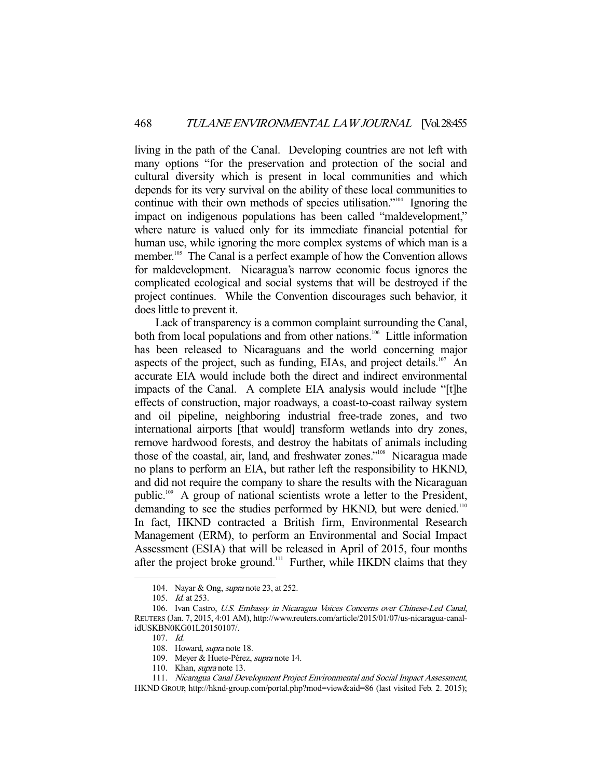living in the path of the Canal. Developing countries are not left with many options "for the preservation and protection of the social and cultural diversity which is present in local communities and which depends for its very survival on the ability of these local communities to continue with their own methods of species utilisation."104 Ignoring the impact on indigenous populations has been called "maldevelopment," where nature is valued only for its immediate financial potential for human use, while ignoring the more complex systems of which man is a member.<sup>105</sup> The Canal is a perfect example of how the Convention allows for maldevelopment. Nicaragua's narrow economic focus ignores the complicated ecological and social systems that will be destroyed if the project continues. While the Convention discourages such behavior, it does little to prevent it.

 Lack of transparency is a common complaint surrounding the Canal, both from local populations and from other nations.<sup>106</sup> Little information has been released to Nicaraguans and the world concerning major aspects of the project, such as funding, EIAs, and project details.<sup>107</sup> An accurate EIA would include both the direct and indirect environmental impacts of the Canal. A complete EIA analysis would include "[t]he effects of construction, major roadways, a coast-to-coast railway system and oil pipeline, neighboring industrial free-trade zones, and two international airports [that would] transform wetlands into dry zones, remove hardwood forests, and destroy the habitats of animals including those of the coastal, air, land, and freshwater zones."<sup>108</sup> Nicaragua made no plans to perform an EIA, but rather left the responsibility to HKND, and did not require the company to share the results with the Nicaraguan public.109 A group of national scientists wrote a letter to the President, demanding to see the studies performed by HKND, but were denied.<sup>110</sup> In fact, HKND contracted a British firm, Environmental Research Management (ERM), to perform an Environmental and Social Impact Assessment (ESIA) that will be released in April of 2015, four months after the project broke ground.<sup>111</sup> Further, while HKDN claims that they

<sup>104.</sup> Nayar & Ong, *supra* note 23, at 252.

 <sup>105.</sup> Id. at 253.

 <sup>106.</sup> Ivan Castro, U.S. Embassy in Nicaragua Voices Concerns over Chinese-Led Canal, REUTERS (Jan. 7, 2015, 4:01 AM), http://www.reuters.com/article/2015/01/07/us-nicaragua-canalidUSKBN0KG01L20150107/.

 <sup>107.</sup> Id.

 <sup>108.</sup> Howard, supra note 18.

<sup>109.</sup> Meyer & Huete-Pérez, supra note 14.

<sup>110.</sup> Khan, *supra* note 13.

 <sup>111.</sup> Nicaragua Canal Development Project Environmental and Social Impact Assessment, HKND GROUP, http://hknd-group.com/portal.php?mod=view&aid=86 (last visited Feb. 2. 2015);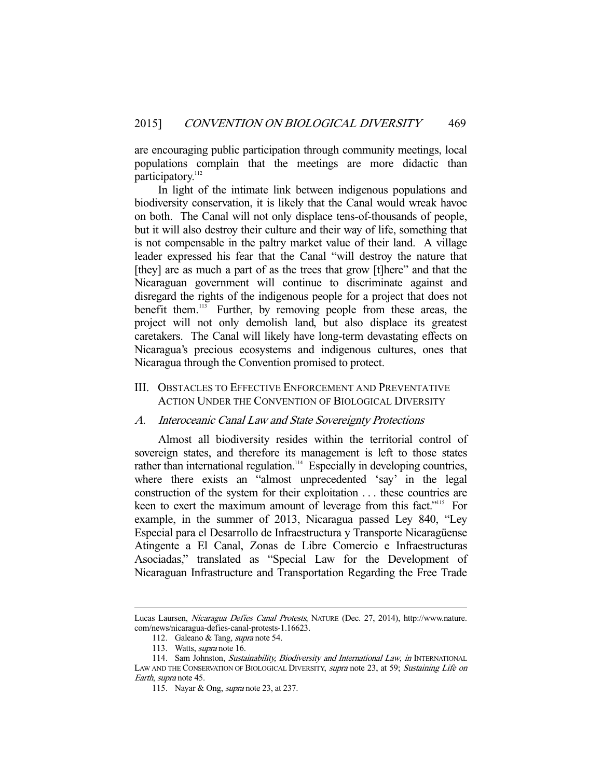are encouraging public participation through community meetings, local populations complain that the meetings are more didactic than participatory.<sup>112</sup>

 In light of the intimate link between indigenous populations and biodiversity conservation, it is likely that the Canal would wreak havoc on both. The Canal will not only displace tens-of-thousands of people, but it will also destroy their culture and their way of life, something that is not compensable in the paltry market value of their land. A village leader expressed his fear that the Canal "will destroy the nature that [they] are as much a part of as the trees that grow [t]here" and that the Nicaraguan government will continue to discriminate against and disregard the rights of the indigenous people for a project that does not benefit them.<sup>113</sup> Further, by removing people from these areas, the project will not only demolish land, but also displace its greatest caretakers. The Canal will likely have long-term devastating effects on Nicaragua's precious ecosystems and indigenous cultures, ones that Nicaragua through the Convention promised to protect.

#### III. OBSTACLES TO EFFECTIVE ENFORCEMENT AND PREVENTATIVE ACTION UNDER THE CONVENTION OF BIOLOGICAL DIVERSITY

#### A. Interoceanic Canal Law and State Sovereignty Protections

 Almost all biodiversity resides within the territorial control of sovereign states, and therefore its management is left to those states rather than international regulation.<sup>114</sup> Especially in developing countries, where there exists an "almost unprecedented 'say' in the legal construction of the system for their exploitation . . . these countries are keen to exert the maximum amount of leverage from this fact."<sup>115</sup> For example, in the summer of 2013, Nicaragua passed Ley 840, "Ley Especial para el Desarrollo de Infraestructura y Transporte Nicaragüense Atingente a El Canal, Zonas de Libre Comercio e Infraestructuras Asociadas," translated as "Special Law for the Development of Nicaraguan Infrastructure and Transportation Regarding the Free Trade

Lucas Laursen, Nicaragua Defies Canal Protests, NATURE (Dec. 27, 2014), http://www.nature. com/news/nicaragua-defies-canal-protests-1.16623.

<sup>112.</sup> Galeano & Tang, supra note 54.

<sup>113.</sup> Watts, *supra* note 16.

<sup>114.</sup> Sam Johnston, Sustainability, Biodiversity and International Law, in INTERNATIONAL LAW AND THE CONSERVATION OF BIOLOGICAL DIVERSITY, supra note 23, at 59; Sustaining Life on Earth, supra note 45.

<sup>115.</sup> Nayar & Ong, *supra* note 23, at 237.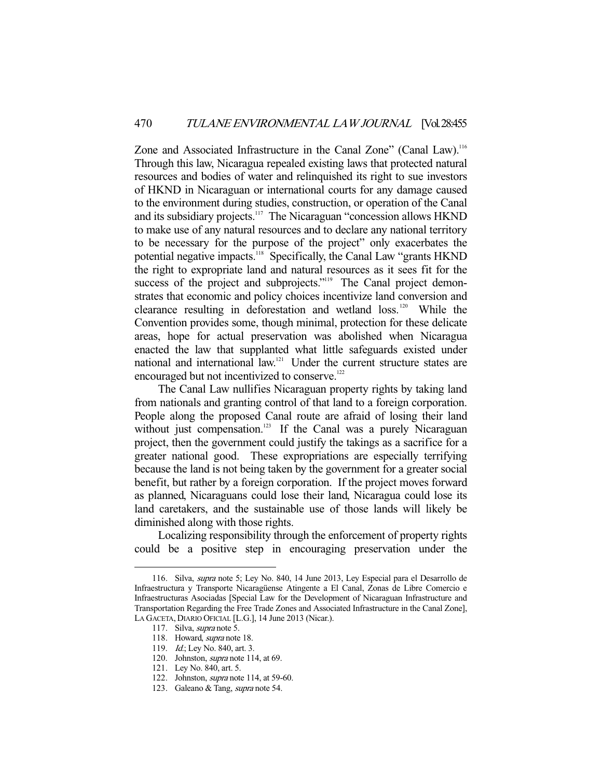Zone and Associated Infrastructure in the Canal Zone" (Canal Law).<sup>116</sup> Through this law, Nicaragua repealed existing laws that protected natural resources and bodies of water and relinquished its right to sue investors of HKND in Nicaraguan or international courts for any damage caused to the environment during studies, construction, or operation of the Canal and its subsidiary projects.<sup>117</sup> The Nicaraguan "concession allows HKND to make use of any natural resources and to declare any national territory to be necessary for the purpose of the project" only exacerbates the potential negative impacts.118 Specifically, the Canal Law "grants HKND the right to expropriate land and natural resources as it sees fit for the success of the project and subprojects."<sup>119</sup> The Canal project demonstrates that economic and policy choices incentivize land conversion and clearance resulting in deforestation and wetland  $loss$ . <sup>120</sup> While the Convention provides some, though minimal, protection for these delicate areas, hope for actual preservation was abolished when Nicaragua enacted the law that supplanted what little safeguards existed under national and international law.121 Under the current structure states are encouraged but not incentivized to conserve.<sup>122</sup>

 The Canal Law nullifies Nicaraguan property rights by taking land from nationals and granting control of that land to a foreign corporation. People along the proposed Canal route are afraid of losing their land without just compensation.<sup>123</sup> If the Canal was a purely Nicaraguan project, then the government could justify the takings as a sacrifice for a greater national good. These expropriations are especially terrifying because the land is not being taken by the government for a greater social benefit, but rather by a foreign corporation. If the project moves forward as planned, Nicaraguans could lose their land, Nicaragua could lose its land caretakers, and the sustainable use of those lands will likely be diminished along with those rights.

 Localizing responsibility through the enforcement of property rights could be a positive step in encouraging preservation under the

 <sup>116.</sup> Silva, supra note 5; Ley No. 840, 14 June 2013, Ley Especial para el Desarrollo de Infraestructura y Transporte Nicaragüense Atingente a El Canal, Zonas de Libre Comercio e Infraestructuras Asociadas [Special Law for the Development of Nicaraguan Infrastructure and Transportation Regarding the Free Trade Zones and Associated Infrastructure in the Canal Zone], LA GACETA, DIARIO OFICIAL [L.G.], 14 June 2013 (Nicar.).

 <sup>117.</sup> Silva, supra note 5.

 <sup>118.</sup> Howard, supra note 18.

<sup>119.</sup> *Id.*; Ley No. 840, art. 3.

 <sup>120.</sup> Johnston, supra note 114, at 69.

 <sup>121.</sup> Ley No. 840, art. 5.

 <sup>122.</sup> Johnston, supra note 114, at 59-60.

 <sup>123.</sup> Galeano & Tang, supra note 54.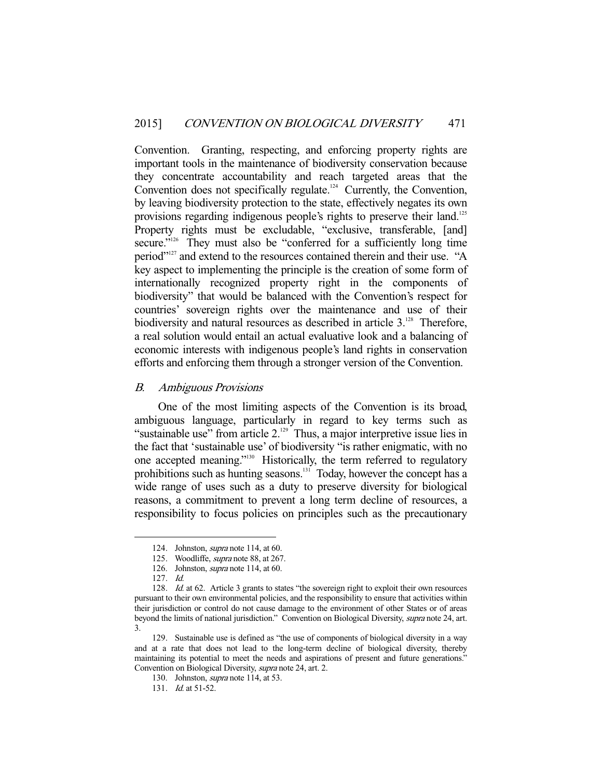Convention. Granting, respecting, and enforcing property rights are important tools in the maintenance of biodiversity conservation because they concentrate accountability and reach targeted areas that the Convention does not specifically regulate.<sup>124</sup> Currently, the Convention, by leaving biodiversity protection to the state, effectively negates its own provisions regarding indigenous people's rights to preserve their land.<sup>125</sup> Property rights must be excludable, "exclusive, transferable, [and] secure."<sup>126</sup> They must also be "conferred for a sufficiently long time period"127 and extend to the resources contained therein and their use. "A key aspect to implementing the principle is the creation of some form of internationally recognized property right in the components of biodiversity" that would be balanced with the Convention's respect for countries' sovereign rights over the maintenance and use of their biodiversity and natural resources as described in article  $3.^{128}$ . Therefore, a real solution would entail an actual evaluative look and a balancing of economic interests with indigenous people's land rights in conservation efforts and enforcing them through a stronger version of the Convention.

#### B. Ambiguous Provisions

 One of the most limiting aspects of the Convention is its broad, ambiguous language, particularly in regard to key terms such as "sustainable use" from article 2.<sup>129</sup> Thus, a major interpretive issue lies in the fact that 'sustainable use' of biodiversity "is rather enigmatic, with no one accepted meaning."130 Historically, the term referred to regulatory prohibitions such as hunting seasons.131 Today, however the concept has a wide range of uses such as a duty to preserve diversity for biological reasons, a commitment to prevent a long term decline of resources, a responsibility to focus policies on principles such as the precautionary

 <sup>124.</sup> Johnston, supra note 114, at 60.

<sup>125.</sup> Woodliffe, *supra* note 88, at 267.

 <sup>126.</sup> Johnston, supra note 114, at 60.

 <sup>127.</sup> Id.

<sup>128.</sup> *Id.* at 62. Article 3 grants to states "the sovereign right to exploit their own resources pursuant to their own environmental policies, and the responsibility to ensure that activities within their jurisdiction or control do not cause damage to the environment of other States or of areas beyond the limits of national jurisdiction." Convention on Biological Diversity, *supra* note 24, art. 3.

 <sup>129.</sup> Sustainable use is defined as "the use of components of biological diversity in a way and at a rate that does not lead to the long-term decline of biological diversity, thereby maintaining its potential to meet the needs and aspirations of present and future generations." Convention on Biological Diversity, supra note 24, art. 2.

<sup>130.</sup> Johnston, *supra* note 114, at 53.

<sup>131.</sup> *Id.* at 51-52.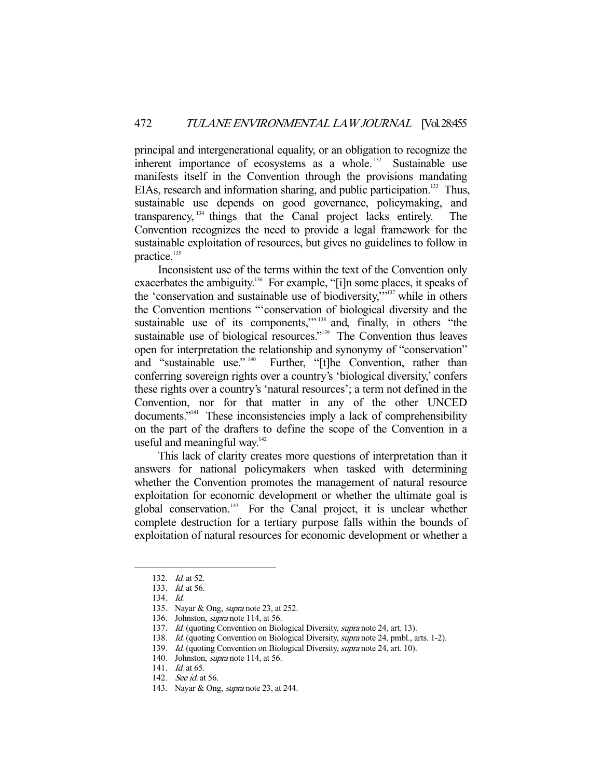principal and intergenerational equality, or an obligation to recognize the inherent importance of ecosystems as a whole.<sup>132</sup> Sustainable use manifests itself in the Convention through the provisions mandating EIAs, research and information sharing, and public participation.<sup>133</sup> Thus, sustainable use depends on good governance, policymaking, and transparency, 134 things that the Canal project lacks entirely. The Convention recognizes the need to provide a legal framework for the sustainable exploitation of resources, but gives no guidelines to follow in practice.<sup>135</sup>

 Inconsistent use of the terms within the text of the Convention only exacerbates the ambiguity.<sup>136</sup> For example, "[i]n some places, it speaks of the 'conservation and sustainable use of biodiversity,'"137 while in others the Convention mentions "'conservation of biological diversity and the sustainable use of its components,"<sup>138</sup> and, finally, in others "the sustainable use of biological resources."<sup>139</sup> The Convention thus leaves open for interpretation the relationship and synonymy of "conservation" and "sustainable use."<sup>140</sup> Further, "[t]he Convention, rather than conferring sovereign rights over a country's 'biological diversity,' confers these rights over a country's 'natural resources'; a term not defined in the Convention, nor for that matter in any of the other UNCED documents."<sup>141</sup> These inconsistencies imply a lack of comprehensibility on the part of the drafters to define the scope of the Convention in a useful and meaningful way. $142$ 

 This lack of clarity creates more questions of interpretation than it answers for national policymakers when tasked with determining whether the Convention promotes the management of natural resource exploitation for economic development or whether the ultimate goal is global conservation.<sup>143</sup> For the Canal project, it is unclear whether complete destruction for a tertiary purpose falls within the bounds of exploitation of natural resources for economic development or whether a

- 138. Id. (quoting Convention on Biological Diversity, supra note 24, pmbl., arts. 1-2).
- 139. Id. (quoting Convention on Biological Diversity, supra note 24, art. 10).
- 140. Johnston, supra note 114, at 56.

<sup>132.</sup> *Id.* at 52.

<sup>133.</sup> *Id.* at 56.

 <sup>134.</sup> Id.

<sup>135.</sup> Nayar & Ong, *supra* note 23, at 252.

 <sup>136.</sup> Johnston, supra note 114, at 56.

<sup>137.</sup> Id. (quoting Convention on Biological Diversity, supra note 24, art. 13).

<sup>141.</sup> *Id.* at 65.

<sup>142.</sup> *See id.* at 56.

<sup>143.</sup> Nayar & Ong, *supra* note 23, at 244.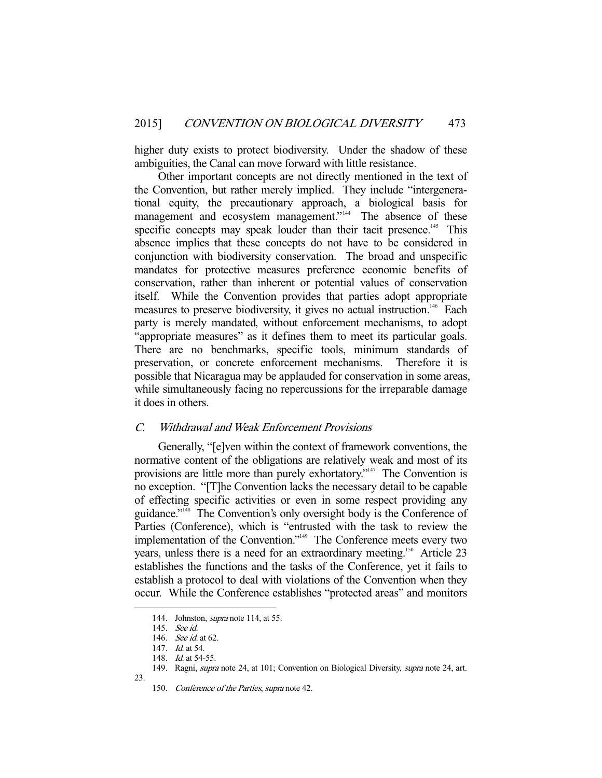higher duty exists to protect biodiversity. Under the shadow of these ambiguities, the Canal can move forward with little resistance.

 Other important concepts are not directly mentioned in the text of the Convention, but rather merely implied. They include "intergenerational equity, the precautionary approach, a biological basis for management and ecosystem management."<sup>144</sup> The absence of these specific concepts may speak louder than their tacit presence.<sup>145</sup> This absence implies that these concepts do not have to be considered in conjunction with biodiversity conservation. The broad and unspecific mandates for protective measures preference economic benefits of conservation, rather than inherent or potential values of conservation itself. While the Convention provides that parties adopt appropriate measures to preserve biodiversity, it gives no actual instruction.<sup>146</sup> Each party is merely mandated, without enforcement mechanisms, to adopt "appropriate measures" as it defines them to meet its particular goals. There are no benchmarks, specific tools, minimum standards of preservation, or concrete enforcement mechanisms. Therefore it is possible that Nicaragua may be applauded for conservation in some areas, while simultaneously facing no repercussions for the irreparable damage it does in others.

### C. Withdrawal and Weak Enforcement Provisions

 Generally, "[e]ven within the context of framework conventions, the normative content of the obligations are relatively weak and most of its provisions are little more than purely exhortatory."<sup>147</sup> The Convention is no exception. "[T]he Convention lacks the necessary detail to be capable of effecting specific activities or even in some respect providing any guidance."148 The Convention's only oversight body is the Conference of Parties (Conference), which is "entrusted with the task to review the implementation of the Convention."149 The Conference meets every two years, unless there is a need for an extraordinary meeting.<sup>150</sup> Article 23 establishes the functions and the tasks of the Conference, yet it fails to establish a protocol to deal with violations of the Convention when they occur. While the Conference establishes "protected areas" and monitors

23.

<sup>144.</sup> Johnston, *supra* note 114, at 55.

 <sup>145.</sup> See id.

<sup>146.</sup> See id. at 62.

<sup>147.</sup> *Id.* at 54.

<sup>148.</sup> *Id.* at 54-55.

<sup>149.</sup> Ragni, supra note 24, at 101; Convention on Biological Diversity, supra note 24, art.

 <sup>150.</sup> Conference of the Parties, supra note 42.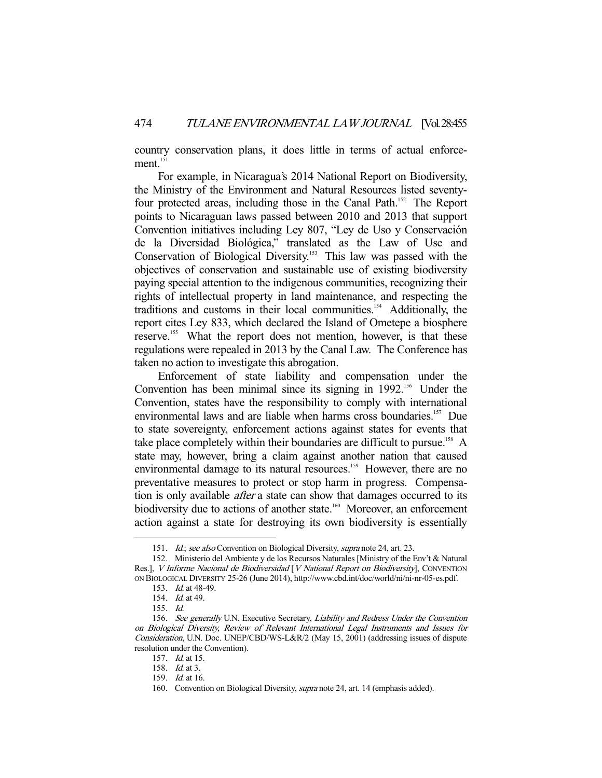country conservation plans, it does little in terms of actual enforcement.<sup>151</sup>

 For example, in Nicaragua's 2014 National Report on Biodiversity, the Ministry of the Environment and Natural Resources listed seventyfour protected areas, including those in the Canal Path.<sup>152</sup> The Report points to Nicaraguan laws passed between 2010 and 2013 that support Convention initiatives including Ley 807, "Ley de Uso y Conservación de la Diversidad Biológica," translated as the Law of Use and Conservation of Biological Diversity.<sup>153</sup> This law was passed with the objectives of conservation and sustainable use of existing biodiversity paying special attention to the indigenous communities, recognizing their rights of intellectual property in land maintenance, and respecting the traditions and customs in their local communities.<sup>154</sup> Additionally, the report cites Ley 833, which declared the Island of Ometepe a biosphere reserve.<sup>155</sup> What the report does not mention, however, is that these regulations were repealed in 2013 by the Canal Law. The Conference has taken no action to investigate this abrogation.

 Enforcement of state liability and compensation under the Convention has been minimal since its signing in  $1992$ <sup>156</sup> Under the Convention, states have the responsibility to comply with international environmental laws and are liable when harms cross boundaries.<sup>157</sup> Due to state sovereignty, enforcement actions against states for events that take place completely within their boundaries are difficult to pursue.<sup>158</sup> A state may, however, bring a claim against another nation that caused environmental damage to its natural resources.<sup>159</sup> However, there are no preventative measures to protect or stop harm in progress. Compensation is only available *after* a state can show that damages occurred to its biodiversity due to actions of another state.<sup>160</sup> Moreover, an enforcement action against a state for destroying its own biodiversity is essentially

<sup>151.</sup> Id.; see also Convention on Biological Diversity, supra note 24, art. 23.

 <sup>152.</sup> Ministerio del Ambiente y de los Recursos Naturales [Ministry of the Env't & Natural Res.], V Informe Nacional de Biodiversidad [V National Report on Biodiversity], CONVENTION ON BIOLOGICAL DIVERSITY 25-26 (June 2014), http://www.cbd.int/doc/world/ni/ni-nr-05-es.pdf.

 <sup>153.</sup> Id. at 48-49.

 <sup>154.</sup> Id. at 49.

 <sup>155.</sup> Id.

 <sup>156.</sup> See generally U.N. Executive Secretary, Liability and Redress Under the Convention on Biological Diversity, Review of Relevant International Legal Instruments and Issues for Consideration, U.N. Doc. UNEP/CBD/WS-L&R/2 (May 15, 2001) (addressing issues of dispute resolution under the Convention).

 <sup>157.</sup> Id. at 15.

 <sup>158.</sup> Id. at 3.

 <sup>159.</sup> Id. at 16.

<sup>160.</sup> Convention on Biological Diversity, *supra* note 24, art. 14 (emphasis added).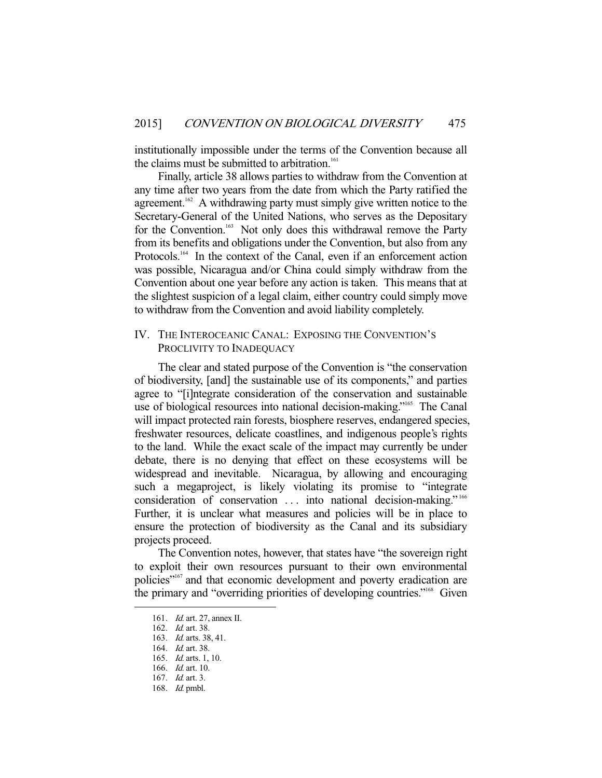institutionally impossible under the terms of the Convention because all the claims must be submitted to arbitration.<sup>161</sup>

 Finally, article 38 allows parties to withdraw from the Convention at any time after two years from the date from which the Party ratified the agreement.<sup>162</sup> A withdrawing party must simply give written notice to the Secretary-General of the United Nations, who serves as the Depositary for the Convention.<sup>163</sup> Not only does this withdrawal remove the Party from its benefits and obligations under the Convention, but also from any Protocols.<sup>164</sup> In the context of the Canal, even if an enforcement action was possible, Nicaragua and/or China could simply withdraw from the Convention about one year before any action is taken. This means that at the slightest suspicion of a legal claim, either country could simply move to withdraw from the Convention and avoid liability completely.

## IV. THE INTEROCEANIC CANAL: EXPOSING THE CONVENTION'S PROCLIVITY TO INADEQUACY

 The clear and stated purpose of the Convention is "the conservation of biodiversity, [and] the sustainable use of its components," and parties agree to "[i]ntegrate consideration of the conservation and sustainable use of biological resources into national decision-making."<sup>165</sup> The Canal will impact protected rain forests, biosphere reserves, endangered species, freshwater resources, delicate coastlines, and indigenous people's rights to the land. While the exact scale of the impact may currently be under debate, there is no denying that effect on these ecosystems will be widespread and inevitable. Nicaragua, by allowing and encouraging such a megaproject, is likely violating its promise to "integrate consideration of conservation . . . into national decision-making." 166 Further, it is unclear what measures and policies will be in place to ensure the protection of biodiversity as the Canal and its subsidiary projects proceed.

 The Convention notes, however, that states have "the sovereign right to exploit their own resources pursuant to their own environmental policies"167 and that economic development and poverty eradication are the primary and "overriding priorities of developing countries."168 Given

 <sup>161.</sup> Id. art. 27, annex II.

 <sup>162.</sup> Id. art. 38.

 <sup>163.</sup> Id. arts. 38, 41.

 <sup>164.</sup> Id. art. 38.

 <sup>165.</sup> Id. arts. 1, 10.

 <sup>166.</sup> Id. art. 10.

 <sup>167.</sup> Id. art. 3.

 <sup>168.</sup> Id. pmbl.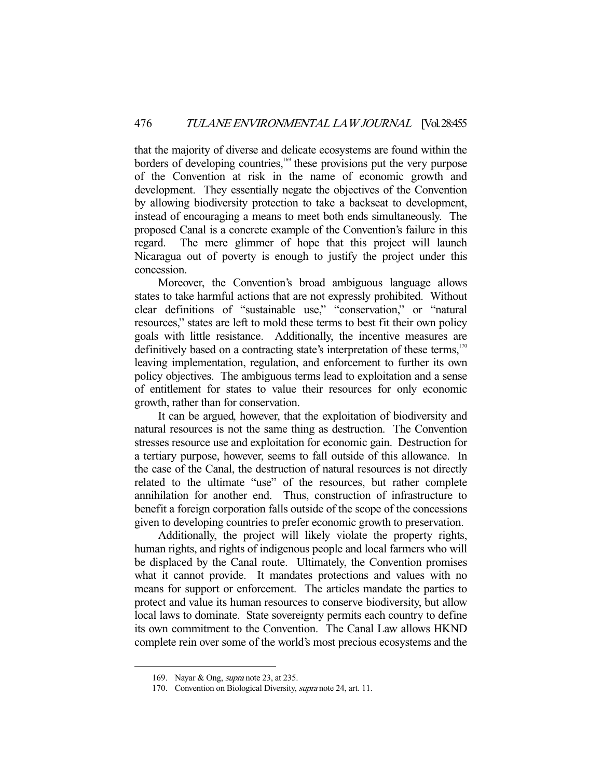that the majority of diverse and delicate ecosystems are found within the borders of developing countries,<sup>169</sup> these provisions put the very purpose of the Convention at risk in the name of economic growth and development. They essentially negate the objectives of the Convention by allowing biodiversity protection to take a backseat to development, instead of encouraging a means to meet both ends simultaneously. The proposed Canal is a concrete example of the Convention's failure in this regard. The mere glimmer of hope that this project will launch Nicaragua out of poverty is enough to justify the project under this concession.

 Moreover, the Convention's broad ambiguous language allows states to take harmful actions that are not expressly prohibited. Without clear definitions of "sustainable use," "conservation," or "natural resources," states are left to mold these terms to best fit their own policy goals with little resistance. Additionally, the incentive measures are definitively based on a contracting state's interpretation of these terms, $170$ leaving implementation, regulation, and enforcement to further its own policy objectives. The ambiguous terms lead to exploitation and a sense of entitlement for states to value their resources for only economic growth, rather than for conservation.

 It can be argued, however, that the exploitation of biodiversity and natural resources is not the same thing as destruction. The Convention stresses resource use and exploitation for economic gain. Destruction for a tertiary purpose, however, seems to fall outside of this allowance. In the case of the Canal, the destruction of natural resources is not directly related to the ultimate "use" of the resources, but rather complete annihilation for another end. Thus, construction of infrastructure to benefit a foreign corporation falls outside of the scope of the concessions given to developing countries to prefer economic growth to preservation.

 Additionally, the project will likely violate the property rights, human rights, and rights of indigenous people and local farmers who will be displaced by the Canal route. Ultimately, the Convention promises what it cannot provide. It mandates protections and values with no means for support or enforcement. The articles mandate the parties to protect and value its human resources to conserve biodiversity, but allow local laws to dominate. State sovereignty permits each country to define its own commitment to the Convention. The Canal Law allows HKND complete rein over some of the world's most precious ecosystems and the

<sup>169.</sup> Nayar & Ong, *supra* note 23, at 235.

 <sup>170.</sup> Convention on Biological Diversity, supra note 24, art. 11.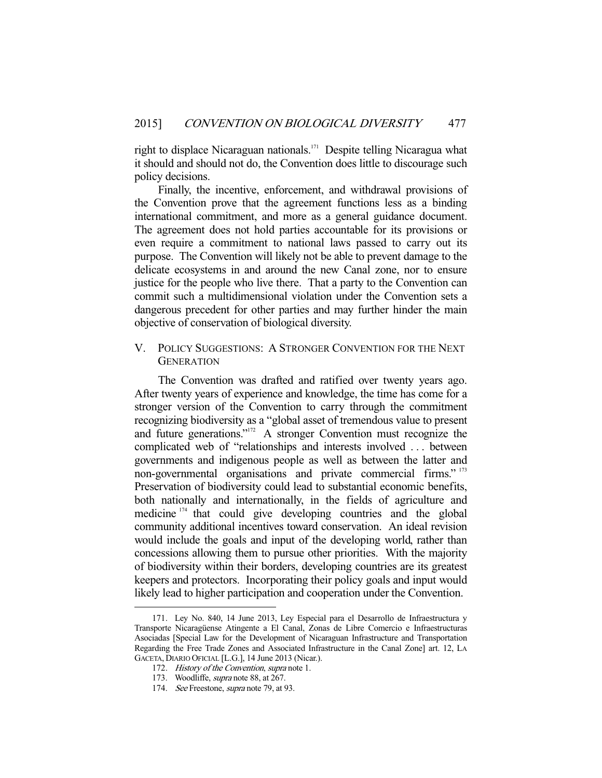right to displace Nicaraguan nationals.<sup>171</sup> Despite telling Nicaragua what it should and should not do, the Convention does little to discourage such policy decisions.

 Finally, the incentive, enforcement, and withdrawal provisions of the Convention prove that the agreement functions less as a binding international commitment, and more as a general guidance document. The agreement does not hold parties accountable for its provisions or even require a commitment to national laws passed to carry out its purpose. The Convention will likely not be able to prevent damage to the delicate ecosystems in and around the new Canal zone, nor to ensure justice for the people who live there. That a party to the Convention can commit such a multidimensional violation under the Convention sets a dangerous precedent for other parties and may further hinder the main objective of conservation of biological diversity.

# V. POLICY SUGGESTIONS: A STRONGER CONVENTION FOR THE NEXT **GENERATION**

 The Convention was drafted and ratified over twenty years ago. After twenty years of experience and knowledge, the time has come for a stronger version of the Convention to carry through the commitment recognizing biodiversity as a "global asset of tremendous value to present and future generations."172 A stronger Convention must recognize the complicated web of "relationships and interests involved . . . between governments and indigenous people as well as between the latter and non-governmental organisations and private commercial firms." <sup>173</sup> Preservation of biodiversity could lead to substantial economic benefits, both nationally and internationally, in the fields of agriculture and medicine<sup>174</sup> that could give developing countries and the global community additional incentives toward conservation. An ideal revision would include the goals and input of the developing world, rather than concessions allowing them to pursue other priorities. With the majority of biodiversity within their borders, developing countries are its greatest keepers and protectors. Incorporating their policy goals and input would likely lead to higher participation and cooperation under the Convention.

 <sup>171.</sup> Ley No. 840, 14 June 2013, Ley Especial para el Desarrollo de Infraestructura y Transporte Nicaragüense Atingente a El Canal, Zonas de Libre Comercio e Infraestructuras Asociadas [Special Law for the Development of Nicaraguan Infrastructure and Transportation Regarding the Free Trade Zones and Associated Infrastructure in the Canal Zone] art. 12, LA GACETA, DIARIO OFICIAL [L.G.], 14 June 2013 (Nicar.).

<sup>172.</sup> History of the Convention, supra note 1.

<sup>173.</sup> Woodliffe, supra note 88, at 267.

<sup>174.</sup> See Freestone, *supra* note 79, at 93.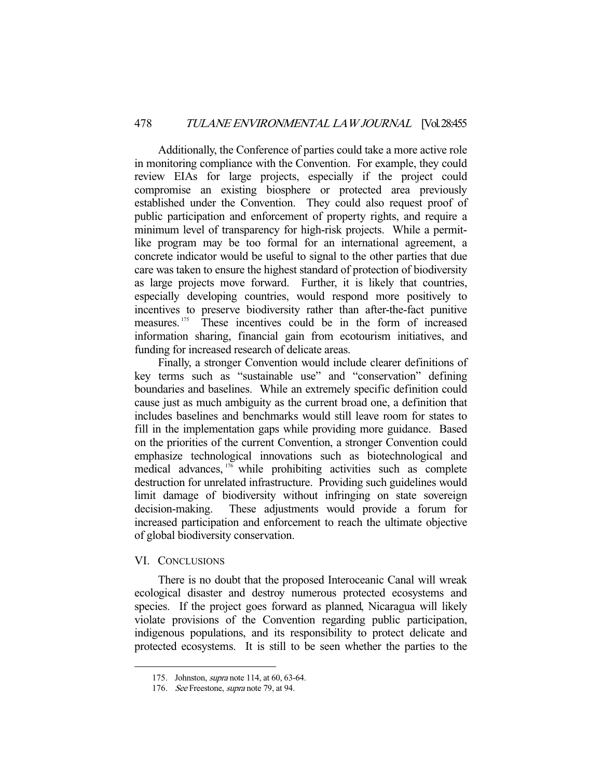Additionally, the Conference of parties could take a more active role in monitoring compliance with the Convention. For example, they could review EIAs for large projects, especially if the project could compromise an existing biosphere or protected area previously established under the Convention. They could also request proof of public participation and enforcement of property rights, and require a minimum level of transparency for high-risk projects. While a permitlike program may be too formal for an international agreement, a concrete indicator would be useful to signal to the other parties that due care was taken to ensure the highest standard of protection of biodiversity as large projects move forward. Further, it is likely that countries, especially developing countries, would respond more positively to incentives to preserve biodiversity rather than after-the-fact punitive measures. 175 These incentives could be in the form of increased information sharing, financial gain from ecotourism initiatives, and funding for increased research of delicate areas.

 Finally, a stronger Convention would include clearer definitions of key terms such as "sustainable use" and "conservation" defining boundaries and baselines. While an extremely specific definition could cause just as much ambiguity as the current broad one, a definition that includes baselines and benchmarks would still leave room for states to fill in the implementation gaps while providing more guidance. Based on the priorities of the current Convention, a stronger Convention could emphasize technological innovations such as biotechnological and medical advances,  $176$  while prohibiting activities such as complete destruction for unrelated infrastructure. Providing such guidelines would limit damage of biodiversity without infringing on state sovereign decision-making. These adjustments would provide a forum for increased participation and enforcement to reach the ultimate objective of global biodiversity conservation.

#### VI. CONCLUSIONS

-

 There is no doubt that the proposed Interoceanic Canal will wreak ecological disaster and destroy numerous protected ecosystems and species. If the project goes forward as planned, Nicaragua will likely violate provisions of the Convention regarding public participation, indigenous populations, and its responsibility to protect delicate and protected ecosystems. It is still to be seen whether the parties to the

 <sup>175.</sup> Johnston, supra note 114, at 60, 63-64.

<sup>176.</sup> See Freestone, *supra* note 79, at 94.